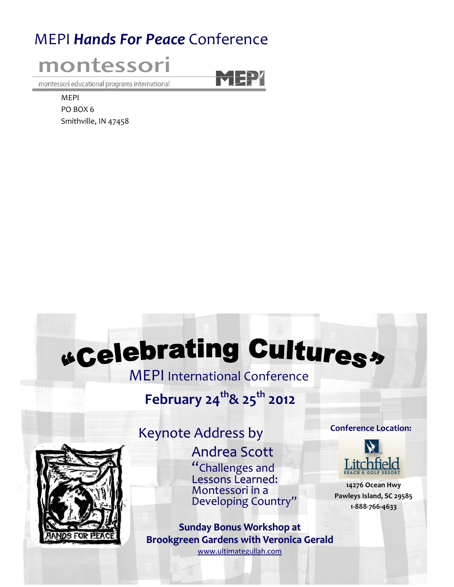# MEPI Hands For Peace Conference



montessori educational programs international

MEPI PO BOX 6 Smithville, IN 47458

# *<u>Gelebrating Culturess</u>*

MEPI International Conference

# February 24<sup>th</sup>& 25<sup>th</sup> 2012



# Keynote Address by

Andrea Scott "Challenges and Lessons Learned: Montessori in a Developing Country"

Sunday Bonus Workshop at Brookgreen Gardens with Veronica Gerald www.ultimategullah.com

#### Conference Location:



14276 Ocean Hwy Pawleys Island, SC 29585 1-888-766-4633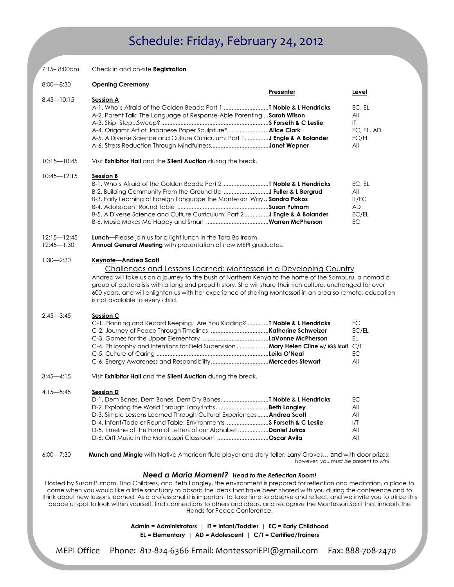# Schedule: Friday, February 24, 2012

| $7:15 - 8:00$ am                  | Check in and on-site <b>Registration</b>                                                                                                                                                                                                                                                                                                                                                                                                                                                                                                                                                                                                                                                                     |                                      |                                                   |
|-----------------------------------|--------------------------------------------------------------------------------------------------------------------------------------------------------------------------------------------------------------------------------------------------------------------------------------------------------------------------------------------------------------------------------------------------------------------------------------------------------------------------------------------------------------------------------------------------------------------------------------------------------------------------------------------------------------------------------------------------------------|--------------------------------------|---------------------------------------------------|
| $8:00 - 8:30$                     | <b>Opening Ceremony</b>                                                                                                                                                                                                                                                                                                                                                                                                                                                                                                                                                                                                                                                                                      | Presenter                            | Level                                             |
| $8:45 - 10:15$                    | <b>Session A</b><br>A-1. Who's Afraid of the Golden Beads: Part 1 T Noble & L Hendricks<br>A-2. Parent Talk: The Language of Response-Able Parenting  Sarah Wilson<br>A-5. A Diverse Science and Culture Curriculum: Part 1. <b>J Engle &amp; A Bolander</b>                                                                                                                                                                                                                                                                                                                                                                                                                                                 |                                      | EC, EL<br>All<br>IT<br>EC, EL, AD<br>EC/EL<br>All |
| $10:15 - 10:45$                   | Visit Exhibitor Hall and the Silent Auction during the break.                                                                                                                                                                                                                                                                                                                                                                                                                                                                                                                                                                                                                                                |                                      |                                                   |
| $10:45 - 12:15$                   | <b>Session B</b><br>B-3. Early Learning of Foreign Language the Montessori Way Sandra Pokos<br>B-5. A Diverse Science and Culture Curriculum: Part 2 J Engle & A Bolander                                                                                                                                                                                                                                                                                                                                                                                                                                                                                                                                    |                                      | EC, EL<br>All<br>IT/EC<br>AD<br>EC/EL<br>EC       |
| $12:15 - 12:45$<br>$12:45 - 1:30$ | Lunch-Please join us for a light lunch in the Tara Ballroom.<br>Annual General Meeting with presentation of new MEPI graduates.                                                                                                                                                                                                                                                                                                                                                                                                                                                                                                                                                                              |                                      |                                                   |
| $1:30 - 2:30$                     | Keynote-Andrea Scott<br>Challenges and Lessons Learned: Montessori in a Developing Country<br>Andrea will take us on a journey to the bush of Northern Kenya to the home of the Samburu, a nomadic<br>group of pastoralists with a long and proud history. She will share their rich culture, unchanged for over<br>600 years, and will enlighten us with her experience of sharing Montessori in an area so remote, education<br>is not available to every child.                                                                                                                                                                                                                                           |                                      |                                                   |
| $2:45 - 3:45$                     | Session C<br>C-1. Planning and Record Keeping. Are You Kidding?  T Noble & L Hendricks<br>C-4. Philosophy and Intentions for Field Supervision  Mary Helen Cline w/ IGS Staff C/T                                                                                                                                                                                                                                                                                                                                                                                                                                                                                                                            |                                      | EC<br>EC/EL<br>EL.<br><b>EC</b><br>All            |
| $3:45 - 4:15$                     | Visit Exhibitor Hall and the Silent Auction during the break.                                                                                                                                                                                                                                                                                                                                                                                                                                                                                                                                                                                                                                                |                                      |                                                   |
| $4:15 - 5:45$                     | <b>Session D</b><br>D-1. Dem Bones, Dem Bones, Dem Dry BonesT Noble & L Hendricks<br>D-3. Simple Lessons Learned Through Cultural Experiences Andrea Scott<br>D-4. Infant/Toddler Round Table: Environments  S Forseth & C Leslie<br>D-5. Timeline of the Form of Letters of our Alphabet Daniel Jutras<br>D-6. Orff Music in the Montessori Classroom Oscar Avila                                                                                                                                                                                                                                                                                                                                           |                                      | EС<br>All<br>All<br>1/T<br>All<br>All             |
| $6:00 - 7:30$                     | <b>Munch and Mingle</b> with Native American flute player and story teller, Larry Groves and with door prizes!                                                                                                                                                                                                                                                                                                                                                                                                                                                                                                                                                                                               | However, you must be present to win! |                                                   |
|                                   | Need a Maria Moment? Head to the Reflection Room!<br>Hosted by Susan Putnam, Tina Childress, and Beth Langley, the environment is prepared for reflection and meditation, a place to<br>come when you would like a little sanctuary to absorb the ideas that have been shared with you during the conference and to<br>think about new lessons learned. As a professional it is important to take time to observe and reflect, and we invite you to utilize this<br>peaceful spot to look within yourself, find connections to others and ideas, and recognize the Montessori Spirit that inhabits the<br>Hands for Peace Conference.<br>Admin = Administrators   IT = Infant/Toddler   EC = Early Childhood |                                      |                                                   |
|                                   |                                                                                                                                                                                                                                                                                                                                                                                                                                                                                                                                                                                                                                                                                                              |                                      |                                                   |

EL = Elementary | AD = Adolescent | C/T = Certified/Trainers

MEPI Office Phone: 812-824-6366 Email: MontessoriEPI@gmail.com Fax: 888-708-2470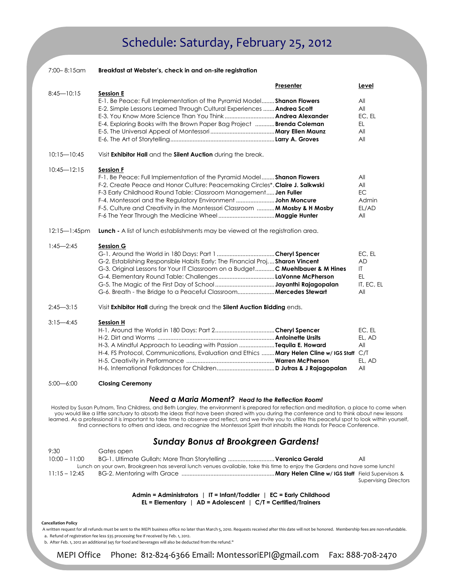## Schedule: Saturday, February 25, 2012

| 7:00-8:15am       | Breakfast at Webster's, check in and on-site registration                                                                                                                                                                                                                                                                                                                                           |           |                                                                 |  |  |
|-------------------|-----------------------------------------------------------------------------------------------------------------------------------------------------------------------------------------------------------------------------------------------------------------------------------------------------------------------------------------------------------------------------------------------------|-----------|-----------------------------------------------------------------|--|--|
|                   |                                                                                                                                                                                                                                                                                                                                                                                                     | Presenter | Level                                                           |  |  |
| $8:45 - 10:15$    | <b>Session E</b><br>E-1. Be Peace: Full Implementation of the Pyramid Model Shanon Flowers<br>E-2. Simple Lessons Learned Through Cultural Experiences  Andrea Scott<br>E-4. Exploring Books with the Brown Paper Bag Project <b>Brenda Coleman</b>                                                                                                                                                 |           | All<br>All<br>EC. EL<br>EL.<br>All<br>All                       |  |  |
| $10:15 - 10:45$   | Visit Exhibitor Hall and the Silent Auction during the break.                                                                                                                                                                                                                                                                                                                                       |           |                                                                 |  |  |
| $10:45 - 12:15$   | <b>Session F</b><br>F-1. Be Peace: Full Implementation of the Pyramid Model Shanon Flowers<br>F-2. Create Peace and Honor Culture: Peacemaking Circles*. Claire J. Salkwski<br>F-3 Early Childhood Round Table: Classroom Management Jen Fuller<br>F-4. Montessori and the Regulatory Environment <b>John Moncure</b><br>F-5. Culture and Creativity in the Montessori Classroom  M Mosby & H Mosby |           | All<br>All<br>EC.<br>Admin<br>EL/AD<br>All                      |  |  |
| $12:15 - 1:45$ pm | <b>Lunch</b> - A list of lunch establishments may be viewed at the registration area.                                                                                                                                                                                                                                                                                                               |           |                                                                 |  |  |
| $1:45 - 2:45$     | <b>Session G</b><br>G-2. Establishing Responsible Habits Early: The Financial Proj Sharon Vincent<br>G-3. Original Lessons for Your IT Classroom on a Budget C Muehlbauer & M Hines                                                                                                                                                                                                                 |           | EC, EL<br><b>AD</b><br>$\mathsf{I}$<br>EL.<br>IT. EC. EL<br>All |  |  |
| $2:45 - 3:15$     | Visit Exhibitor Hall during the break and the Silent Auction Bidding ends.                                                                                                                                                                                                                                                                                                                          |           |                                                                 |  |  |
| $3:15 - 4:45$     | <b>Session H</b><br>H-3. A Mindful Approach to Leading with Passion Tequila E. Howard<br>H-4. FS Protocol, Communications, Evaluation and Ethics  Mary Helen Cline w/ IGS Staff C/T                                                                                                                                                                                                                 |           | EC, EL<br>EL, AD<br>All<br>EL, AD<br>All                        |  |  |
| $5:00 - 6:00$     | <b>Closing Ceremony</b>                                                                                                                                                                                                                                                                                                                                                                             |           |                                                                 |  |  |
|                   | Need a Maria Moment? Head to the Reflection Room!                                                                                                                                                                                                                                                                                                                                                   |           |                                                                 |  |  |

Hosted by Susan Putnam, Tina Childress, and Beth Langley, the environment is prepared for reflection and meditation, a place to come when you would like a little sanctuary to absorb the ideas that have been shared with you during the conference and to think about new lessons learned. As a professional it is important to take time to observe and reflect, and we invite you to utilize this peaceful spot to look within yourself, find connections to others and ideas, and recognize the Montessori Spirit that inhabits the Hands for Peace Conference.

### Sunday Bonus at Brookgreen Gardens!

| 9:30            | Gates open                                                                                                                 |                              |
|-----------------|----------------------------------------------------------------------------------------------------------------------------|------------------------------|
| $10:00 - 11:00$ | BG-1. Ultimate Gullah: More Than Storytelling  Veronica Gerald                                                             | All                          |
|                 | Lunch on your own, Brookgreen has several lunch venues available, take this time to enjoy the Gardens and have some lunch! |                              |
| $11:15 - 12:45$ |                                                                                                                            |                              |
|                 |                                                                                                                            | <b>Supervising Directors</b> |

Admin = Administrators | IT = Infant/Toddler | EC = Early Childhood EL = Elementary | AD = Adolescent |  $C/T$  = Certified/Trainers

#### Cancellation Policy

 A written request for all refunds must be sent to the MEPI business office no later than March 5, 2010. Requests received after this date will not be honored. Membership fees are non-refundable. a. Refund of registration fee less \$35 processing fee if received by Feb. 1, 2012.

b. After Feb. 1, 2012 an additional \$45 for food and beverages will also be deducted from the refund."

MEPI Office Phone: 812-824-6366 Email: MontessoriEPI@gmail.com Fax: 888-708-2470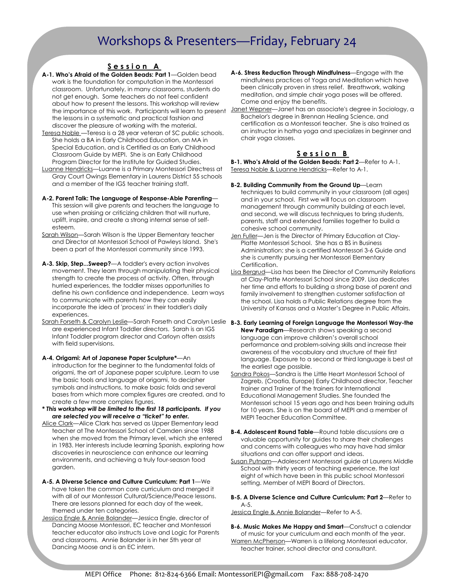## Workshops & Presenters—Friday, February 24

#### Session A

- A-1. Who's Afraid of the Golden Beads: Part 1—Golden bead work is the foundation for computation in the Montessori classroom. Unfortunately, in many classrooms, students do not get enough. Some teachers do not feel confident about how to present the lessons. This workshop will review the lessons in a systematic and practical fashion and discover the pleasure of working with the material.
- Teresa Noble —Teresa is a 28 year veteran of SC public schools. She holds a BA in Early Childhood Education, an MA in Special Education, and is Certified as an Early Childhood Classroom Guide by MEPI. She is an Early Childhood Program Director for the Institute for Guided Studies.
- Luanne Hendricks—Luanne is a Primary Montessori Directress at Gray Court Owings Elementary in Laurens District 55 schools and a member of the IGS teacher training staff.
- A-2. Parent Talk: The Language of Response-Able Parenting— This session will give parents and teachers the language to use when praising or criticizing children that will nurture, uplift, inspire, and create a strong internal sense of selfesteem.
- Sarah Wilson—Sarah Wilson is the Upper Elementary teacher and Director at Montessori School of Pawleys Island. She's been a part of the Montessori community since 1993.
- A-3. Skip, Step...Sweep?—A toddler's every action involves movement. They learn through manipulating their physical strength to create the process of activity. Often, through hurried experiences, the toddler misses opportunities to define his own confidence and independence. Learn ways to communicate with parents how they can easily incorporate the idea of 'process' in their toddler's daily experiences.
- Sarah Forseth & Carolyn Leslie—Sarah Forseth and Carolyn Leslie **B-3. Early Learning of Foreign Language the Montessori Way-the** are experienced Infant Toddler directors. Sarah is an IGS Infant Toddler program director and Carloyn often assists with field supervisions.
- A-4. Origami: Art of Japanese Paper Sculpture\*—An introduction for the beginner to the fundamental folds of origami, the art of Japanese paper sculpture. Learn to use the basic tools and language of origami, to decipher symbols and instructions, to make basic folds and several bases from which more complex figures are created, and to create a few more complex figures.
- \* This workshop will be limited to the first 18 participants. If you are selected you will receive a "ticket" to enter.
- Alice Clark-Alice Clark has served as Upper Elementary lead teacher at The Montessori School of Camden since 1988 when she moved from the Primary level, which she entered in 1983. Her interests include learning Spanish, exploring how discoveries in neuroscience can enhance our learning environments, and achieving a truly four-season food garden.
- A-5. A Diverse Science and Culture Curriculum: Part 1—We have taken the common core curriculum and merged it with all of our Montessori Cultural/Science/Peace lessons. There are lessons planned for each day of the week, themed under ten categories.
- Jessica Engle & Annie Bolander—Jessica Engle, director of Dancing Moose Montessori, EC teacher and Montessori teacher educator also instructs Love and Logic for Parents and classrooms. Annie Bolander is in her 5th year at Dancing Moose and is an EC intern.
- A-6. Stress Reduction Through Mindfulness—Engage with the mindfulness practices of Yoga and Meditation which have been clinically proven in stress relief. Breathwork, walking meditation, and simple chair yoga poses will be offered. Come and enjoy the benefits.
- the importance of this work. Participants will learn to present <u>Janet Wepner</u>—Janet has an associate's degree in Sociology, a Bachelor's degree in Brennan Healing Science, and certification as a Montessori teacher. She is also trained as an instructor in hatha yoga and specializes in beginner and chair yoga classes.

#### Session B

B-1. Who's Afraid of the Golden Beads: Part 2—Refer to A-1. Teresa Noble & Luanne Hendricks—Refer to A-1.

- B-2. Building Community From the Ground Up—Learn techniques to build community in your classroom (all ages) and in your school. First we will focus on classroom management through community building at each level, and second, we will discuss techniques to bring students, parents, staff and extended families together to build a cohesive school community.
- Jen Fuller-Jen is the Director of Primary Education at Clay-Platte Montessori School. She has a BS in Business Administration; she is a certified Montessori 3-6 Guide and she is currently pursuing her Montessori Elementary Certification.
- Lisa Bergrud—Lisa has been the Director of Community Relations at Clay-Platte Montessori School since 2009. Lisa dedicates her time and efforts to building a strong base of parent and family involvement to strengthen customer satisfaction at the school. Lisa holds a Public Relations degree from the University of Kansas and a Master's Degree in Public Affairs.
- New Paradigm—Research shows speaking a second language can improve children's overall school performance and problem-solving skills and increase their awareness of the vocabulary and structure of their first language. Exposure to a second or third language is best at the earliest age possible.
- Sandra Pokos—Sandra is the Little Heart Montessori School of Zagreb, (Croatia, Europe) Early Childhood director, Teacher trainer and Trainer of the trainers for International Educational Management Studies. She founded the Montessori school 15 years ago and has been training adults for 10 years. She is on the board of MEPI and a member of MEPI Teacher Education Committee.
- B-4. Adolescent Round Table—Round table discussions are a valuable opportunity for guides to share their challenges and concerns with colleagues who may have had similar situations and can offer support and ideas.
- Susan Putnam—Adolescent Montessori guide at Laurens Middle School with thirty years of teaching experience, the last eight of which have been in this public school Montessori setting. Member of MEPI Board of Directors.

B-5. A Diverse Science and Culture Curriculum: Part 2—Refer to  $A-5$ .

Jessica Engle & Annie Bolander—Refer to A-5.

B-6. Music Makes Me Happy and Smart-Construct a calendar of music for your curriculum and each month of the year. Warren McPherson—Warren is a lifelong Montessori educator, teacher trainer, school director and consultant.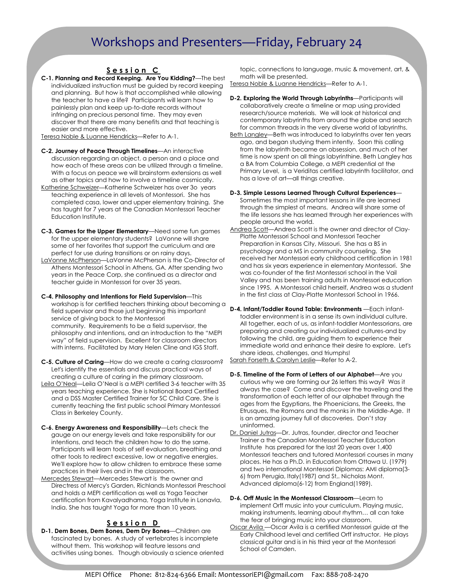### Workshops and Presenters—Friday, February 24

### Session C

C-1. Planning and Record Keeping. Are You Kidding?—The best individualized instruction must be guided by record keeping and planning. But how is that accomplished while allowing the teacher to have a life? Participants will learn how to painlessly plan and keep up-to-date records without infringing on precious personal time. They may even discover that there are many benefits and that teaching is easier and more effective.

Teresa Noble & Luanne Hendricks—Refer to A-1.

- C-2. Journey of Peace Through Timelines—An interactive discussion regarding an object, a person and a place and how each of these areas can be utilized through a timeline. With a focus on peace we will brainstorm extensions as well as other topics and how to involve a timeline cosmically.
- Katherine Schweizer—Katherine Schweizer has over 3o years teaching experience in all levels of Montessori. She has completed casa, lower and upper elementary training. She has taught for 7 years at the Canadian Montessori Teacher Education Institute.
- C-3. Games for the Upper Elementary—Need some fun games for the upper elementary students? LaVonne will share some of her favorites that support the curriculum and are perfect for use during transitions or on rainy days.
- LaVonne McPherson—LaVonne McPherson is the Co-Director of Athens Montessori School in Athens, GA. After spending two years in the Peace Corp, she continued as a director and teacher guide in Montessori for over 35 years.
- C-4. Philosophy and Intentions for Field Supervision—This workshop is for certified teachers thinking about becoming a field supervisor and those just beginning this important service of giving back to the Montessori community. Requirements to be a field supervisor, the philosophy and intentions, and an introduction to the "MEPI way" of field supervision. Excellent for classroom directors with interns. Facilitated by Mary Helen Cline and IGS Staff.
- C-5. Culture of Caring—How do we create a caring classroom? Let's identify the essentials and discuss practical ways of creating a culture of caring in the primary classroom.
- Leila O'Neal—Leila O'Neal is a MEPI certified 3-6 teacher with 35 years teaching experience. She is National Board Certified and a DSS Master Certified Trainer for SC Child Care. She is currently teaching the first public school Primary Montessori Class in Berkeley County.
- C-6. Energy Awareness and Responsibility—Lets check the gauge on our energy levels and take responsibility for our intentions, and teach the children how to do the same. Participants will learn tools of self evaluation, breathing and other tools to redirect excessive, low or negative energies. We'll explore how to allow children to embrace these same practices in their lives and in the classroom.
- Mercedes Stewart—Mercedes Stewart is the owner and Directress of Mercy's Garden, Richlands Montessori Preschool and holds a MEPI certification as well as Yoga Teacher certification from Kavalyadhama, Yoga Institute in Lonavla, India. She has taught Yoga for more than 10 years.

#### Session D

D-1. Dem Bones, Dem Bones, Dem Dry Bones—Children are fascinated by bones. A study of vertebrates is incomplete without them. This workshop will feature lessons and activities using bones. Though obviously a science oriented topic, connections to language, music & movement, art, & math will be presented.

Teresa Noble & Luanne Hendricks—Refer to A-1.

- D-2. Exploring the World Through Labyrinths—Participants will collaboratively create a timeline or map using provided research/source materials. We will look at historical and contemporary labyrinths from around the globe and search for common threads in the very diverse world of labyrinths.
- Beth Langley—Beth was introduced to labyrinths over ten years ago, and began studying them intently. Soon this calling from the labyrinth became an obsession, and much of her time is now spent on all things labyrinthine. Beth Langley has a BA from Columbia College, a MEPI credential at the Primary Level, is a Veriditas certified labyrinth facilitator, and has a love of art—all things creative.
- D-3. Simple Lessons Learned Through Cultural Experiences— Sometimes the most important lessons in life are learned through the simplest of means. Andrea will share some of the life lessons she has learned through her experiences with people around the world.
- Andrea Scott—Andrea Scott is the owner and director of Clay-Platte Montessori School and Montessori Teacher Preparation in Kansas City, Missouri. She has a BS in psychology and a MS in community counseling. She received her Montessori early childhood certification in 1981 and has six years experience in elementary Montessori. She was co-founder of the first Montessori school in the Vail Valley and has been training adults in Montessori education since 1995. A Montessori child herself, Andrea was a student in the first class at Clay-Platte Montessori School in 1966.
- D-4. Infant/Toddler Round Table: Environments —Each infanttoddler environment is in a sense its own individual culture. All together, each of us, as infant-toddler Montessorians, are preparing and creating our individualized cultures-and by following the child, are guiding them to experience their immediate world and enhance their desire to explore. Let's share ideas, challenges, and triumphs! Sarah Forseth & Carolyn Leslie-Refer to A-2.
- D-5. Timeline of the Form of Letters of our Alphabet—Are you curious why we are forming our 26 letters this way? Was it always the case? Come and discover the traveling and the
- transformation of each letter of our alphabet through the ages from the Egyptians, the Phoenicians, the Greeks, the Etrusques, the Romans and the monks in the Middle-Age. It is an amazing journey full of discoveries. Don't stay uninformed.
- Dr. Daniel Jutras—Dr. Jutras, founder, director and Teacher Trainer a the Canadian Montessori Teacher Education Institute has prepared for the last 20 years over 1,400 Montessori teachers and tutored Montessori courses in many places. He has a Ph.D. in Education from Ottawa U. (1979) and two international Montessori Diplomas: AMI diploma(3- 6) from Perugia, Italy(1987) and St,. Nicholas Mont. Advanced diploma(6-12) from England(1989).
- D-6. Orff Music in the Montessori Classroom-Learn to implement Orff music into your curriculum. Playing music, making instruments, learning about rhythm… all can take the fear of bringing music into your classroom.
- Oscar Avila —Oscar Avila is a certified Montessori guide at the Early Childhood level and certified Orff instructor. He plays classical guitar and is in his third year at the Montessori School of Camden.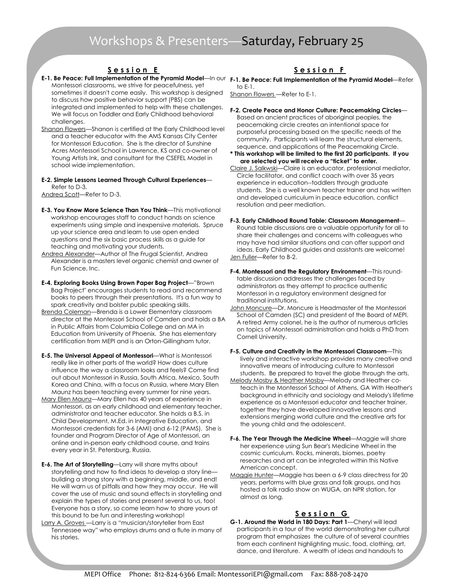## Workshops & Presenters—Saturday, February 25

#### Session E

- Montessori classrooms, we strive for peacefulness, yet sometimes it doesn't come easily. This workshop is designed to discuss how positive behavior support (PBS) can be integrated and implemented to help with these challenges. We will focus on Toddler and Early Childhood behavioral challenges.
- Shanon Flowers—Shanon is certified at the Early Childhood level and a teacher educator with the AMS Kansas City Center for Montessori Education. She is the director of Sunshine Acres Montessori School in Lawrence, KS and co-owner of Young Artists Ink, and consultant for the CSEFEL Model in school wide implementation.

#### E-2. Simple Lessons Learned Through Cultural Experiences— Refer to D-3.

Andrea Scott—Refer to D-3.

- E-3. You Know More Science Than You Think—This motivational workshop encourages staff to conduct hands on science experiments using simple and inexpensive materials. Spruce up your science area and learn to use open ended questions and the six basic process skills as a guide for teaching and motivating your students.
- Andrea Alexander—Author of The Frugal Scientist, Andrea Alexander is a masters level organic chemist and owner of Fun Science, Inc.
- E-4. Exploring Books Using Brown Paper Bag Project—"Brown Bag Project" encourages students to read and recommend books to peers through their presentations. It's a fun way to spark creativity and bolster public speaking skills.
- Brenda Coleman—Brenda is a Lower Elementary classroom director at the Montessori School of Camden and holds a BA in Public Affairs from Columbia College and an MA in Education from University of Phoenix. She has elementary certification from MEPI and is an Orton-Gillingham tutor.
- E-5. The Universal Appeal of Montessori—What is Montessori really like in other parts of the world? How does culture influence the way a classroom looks and feels? Come find out about Montessori in Russia, South Africa, Mexico, South Korea and China, with a focus on Russia, where Mary Ellen Maunz has been teaching every summer for nine years.
- Mary Ellen Maunz—Mary Ellen has 40 years of experience in Montessori, as an early childhood and elementary teacher, administrator and teacher educator. She holds a B.S. in Child Development, M.Ed. in Integrative Education, and Montessori credentials for 3-6 (AMI) and 6-12 (PAMS). She is founder and Program Director of Age of Montessori, an online and in-person early childhood course, and trains every year in St. Petersburg, Russia.
- E-6. The Art of Storytelling—Larry will share myths about storytelling and how to find ideas to develop a story line building a strong story with a beginning, middle, and end! He will warn us of pitfalls and how they may occur. He will cover the use of music and sound effects in storytelling and explain the types of stories and present several to us, too! Everyone has a story, so come learn how to share yours at this bound to be fun and interesting workshop!
- Larry A. Groves —Larry is a "musician/storyteller from East Tennessee way" who employs drums and a flute in many of his stories.

### Session F

E-1. Be Peace: Full Implementation of the Pyramid Model—In our F-1. Be Peace: Full Implementation of the Pyramid Model—Refer to  $F-1$ .

Shanon Flowers —Refer to E-1.

- F-2. Create Peace and Honor Culture: Peacemaking Circles— Based on ancient practices of aboriginal peoples, the peacemaking circle creates an intentional space for purposeful processing based on the specific needs of the community. Participants will learn the structural elements, sequence, and applications of the Peacemaking Circle.
- \* This workshop will be limited to the first 20 participants. If you are selected you will receive a "ticket" to enter.
- Claire J. Salkwski—Claire is an educator, professional mediator, Circle facilitator, and conflict coach with over 35 years experience in education--toddlers through graduate students. She is a well known teacher trainer and has written and developed curriculum in peace education, conflict resolution and peer mediation.
- F-3. Early Childhood Round Table: Classroom Management— Round table discussions are a valuable opportunity for all to share their challenges and concerns with colleagues who may have had similar situations and can offer support and ideas. Early Childhood guides and assistants are welcome! Jen Fuller-Refer to B-2.
- F-4. Montessori and the Regulatory Environment—This roundtable discussion addresses the challenges faced by administrators as they attempt to practice authentic Montessori in a regulatory environment designed for traditional institutions.
- John Moncure—Dr. Moncure is Headmaster of the Montessori School of Camden (SC) and president of the Board of MEPI. A retired Army colonel, he is the author of numerous articles on topics of Montessori administration and holds a PhD from Cornell University.
- F-5. Culture and Creativity in the Montessori Classroom—This lively and interactive workshop provides many creative and innovative means of introducing culture to Montessori students. Be prepared to travel the globe through the arts.
- Melody Mosby & Heather Mosby—Melody and Heather coteach in the Montessori School of Athens, GA With Heather's background in ethnicity and sociology and Melody's lifetime experience as a Montessori educator and teacher trainer, together they have developed innovative lessons and extensions merging world culture and the creative arts for the young child and the adolescent.
- F-6. The Year Through the Medicine Wheel—Maggie will share her experience using Sun Bear's Medicine Wheel in the cosmic curriculum. Rocks, minerals, biomes, poetry researches and art can be integrated within this Native American concept.
- Maggie Hunter—Maggie has been a 6-9 class directress for 20 years, performs with blue grass and folk groups, and has hosted a folk radio show on WUGA, an NPR station, for almost as long.

### <u>Session G</u>

G-1. Around the World in 180 Days: Part 1—Cheryl will lead participants in a tour of the world demonstrating her cultural program that emphasizes the culture of of several countries from each continent highlighting music, food, clothing, art, dance, and literature. A wealth of ideas and handouts to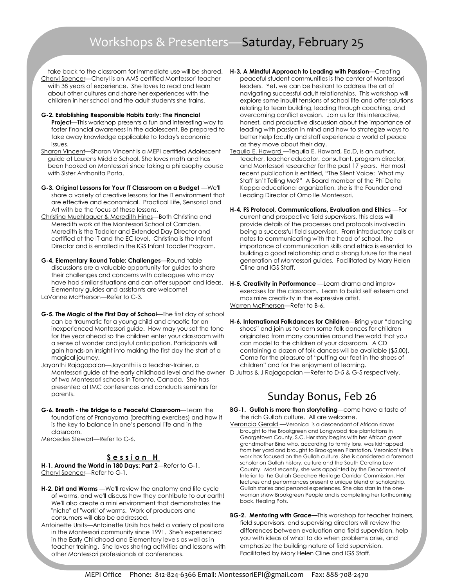# Workshops & Presenters—Saturday, February 25

- take back to the classroom for immediate use will be shared. **H-3. A Mindful Approach to Leading with Passion**—Creating Cheryl Spencer—Cheryl is an AMS certified Montessori teacher with 38 years of experience. She loves to read and learn about other cultures and share her experiences with the children in her school and the adult students she trains.
- G-2. Establishing Responsible Habits Early: The Financial Project-This workshop presents a fun and interesting way to foster financial awareness in the adolescent. Be prepared to take away knowledge applicable to today's economic issues.
- Sharon Vincent—Sharon Vincent is a MEPI certified Adolescent guide at Laurens Middle School. She loves math and has been hooked on Montessori since taking a philosophy course with Sister Anthonita Porta.
- G-3. Original Lessons for Your IT Classroom on a Budget —We'll share a variety of creative lessons for the IT environment that are effective and economical. Practical Life, Sensorial and Art with be the focus of these lessons.
- Christina Muehlbauer & Meredith Hines—Both Christina and Meredith work at the Montessori School of Camden. Meredith is the Toddler and Extended Day Director and certified at the IT and the EC level. Christina is the Infant Director and is enrolled in the IGS Infant Toddler Program.
- G-4. Elementary Round Table: Challenges—Round table discussions are a valuable opportunity for guides to share their challenges and concerns with colleagues who may have had similar situations and can offer support and ideas. Elementary guides and assistants are welcome! LaVonne McPherson-Refer to C-3.
- G-5. The Magic of the First Day of School—The first day of school can be traumatic for a young child and chaotic for an inexperienced Montessori guide. How may you set the tone for the year ahead so the children enter your classroom with a sense of wonder and joyful anticipation. Participants will gain hands-on insight into making the first day the start of a magical journey.
- Jayanthi Rajagopalan—Jayanthi is a teacher-trainer, a Montessori guide at the early childhood level and the owner Dutras & J Rajagopalan—Refer to D-5 & G-5 respectively. of two Montessori schools in Toronto, Canada. She has presented at IMC conferences and conducts seminars for parents.
- G-6. Breath the Bridge to a Peaceful Classroom—Learn the foundations of Pranayama (breathing exercises) and how it is the key to balance in one's personal life and in the classroom.
- Mercedes Stewart-Refer to C-6.

#### Session H

H-1. Around the World in 180 Days: Part 2—Refer to G-1. Cheryl Spencer—Refer to G-1.

- H-2. Dirt and Worms We'll review the anatomy and life cycle of worms, and we'll discuss how they contribute to our earth! We'll also create a mini environment that demonstrates the "niche" of "work" of worms. Work of producers and consumers will also be addressed.
- Antoinette Ursits—Antoinette Ursits has held a variety of positions in the Montessori community since 1991. She's experienced in the Early Childhood and Elementary levels as well as in teacher training. She loves sharing activities and lessons with other Montessori professionals at conferences.
- peaceful student communities is the center of Montessori leaders. Yet, we can be hesitant to address the art of navigating successful adult relationships. This workshop will explore some inbuilt tensions of school life and offer solutions relating to team building, leading through coaching, and overcoming conflict evasion. Join us for this interactive, honest, and productive discussion about the importance of leading with passion in mind and how to strategize ways to better help faculty and staff experience a world of peace as they move about their day.
- Tequila E. Howard —Tequila E. Howard, Ed.D, is an author, teacher, teacher educator, consultant, program director, and Montessori researcher for the past 17 years. Her most recent publication is entitled, "The Silent Voice: What my Staff Isn't Telling Me?" A Board member of the Phi Delta Kappa educational organization, she is the Founder and Leading Director of Omo Ile Montessori.
- H-4. FS Protocol, Communications, Evaluation and Ethics —For current and prospective field supervisors, this class will provide details of the processes and protocols involved in being a successful field supervisor. From introductory calls or notes to communicating with the head of school, the importance of communication skills and ethics is essential to building a good relationship and a strong future for the next generation of Montessori guides. Facilitated by Mary Helen Cline and IGS Staff.
- H-5. Creativity in Performance —Learn drama and improv exercises for the classroom. Learn to build self esteem and maximize creativity in the expressive artist. Warren McPherson-Refer to B-6.
- H-6. International Folkdances for Children-Bring your "dancing shoes" and join us to learn some folk dances for children originated from many countries around the world that you can model to the children of your classroom. A CD containing a dozen of folk dances will be available (\$5.00). Come for the pleasure of "putting our feet in the shoes of children" and for the enjoyment of learning.

### Sunday Bonus, Feb 26

- BG-1. Gullah is more than storytelling—come have a taste of the rich Gullah culture. All are welcome.
- Veroncia Gerald Veronica is a descendant of African slaves brought to the Brookgreen and Longwood rice plantations in Georgetown County, S.C. Her story begins with her African great grandmother Bina who, according to family lore, was kidnapped from her yard and brought to Brookgreen Plantation. Veronica's life's work has focused on the Gullah culture. She is considered a foremost scholar on Gullah history, culture and the South Carolina Low Country. Most recently, she was appointed by the Department of Interior to the Gullah Geechee Heritage Corridor Commission. Her lectures and performances present a unique blend of scholarship, Gullah stories and personal experiences. She also stars in the onewoman show Brookgreen People and is completing her forthcoming book, Healing Pots.
- BG-2. Mentoring with Grace-This workshop for teacher trainers, field supervisors, and supervising directors will review the differences between evaluation and field supervision, help you with ideas of what to do when problems arise, and emphasize the building nature of field supervision. Facilitated by Mary Helen Cline and IGS Staff.